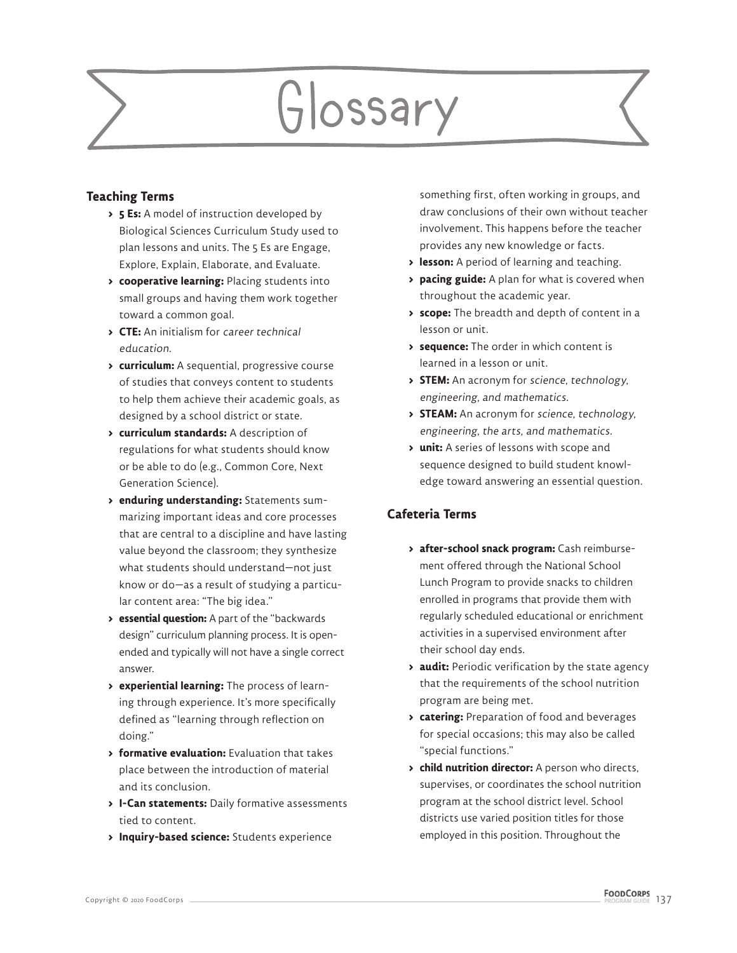# Glossary

## **Teaching Terms**

- **> 5 Es:** A model of instruction developed by Biological Sciences Curriculum Study used to plan lessons and units. The 5 Es are Engage, Explore, Explain, Elaborate, and Evaluate.
- **> cooperative learning:** Placing students into small groups and having them work together toward a common goal.
- **> CTE:** An initialism for career technical education.
- **> curriculum:** A sequential, progressive course of studies that conveys content to students to help them achieve their academic goals, as designed by a school district or state.
- **> curriculum standards:** A description of regulations for what students should know or be able to do (e.g., Common Core, Next Generation Science).
- **> enduring understanding:** Statements summarizing important ideas and core processes that are central to a discipline and have lasting value beyond the classroom; they synthesize what students should understand—not just know or do—as a result of studying a particular content area: "The big idea."
- **> essential question:** A part of the "backwards design" curriculum planning process. It is openended and typically will not have a single correct answer.
- **> experiential learning:** The process of learning through experience. It's more specifically defined as "learning through reflection on doing."
- **> formative evaluation:** Evaluation that takes place between the introduction of material and its conclusion.
- **> I-Can statements:** Daily formative assessments tied to content.
- **> Inquiry-based science:** Students experience

something first, often working in groups, and draw conclusions of their own without teacher involvement. This happens before the teacher provides any new knowledge or facts.

- **> lesson:** A period of learning and teaching.
- **> pacing guide:** A plan for what is covered when throughout the academic year.
- **> scope:** The breadth and depth of content in a lesson or unit.
- **> sequence:** The order in which content is learned in a lesson or unit.
- **> STEM:** An acronym for science, technology, engineering, and mathematics.
- **> STEAM:** An acronym for science, technology, engineering, the arts, and mathematics.
- **> unit:** A series of lessons with scope and sequence designed to build student knowledge toward answering an essential question.

## **Cafeteria Terms**

- **> after-school snack program:** Cash reimbursement offered through the National School Lunch Program to provide snacks to children enrolled in programs that provide them with regularly scheduled educational or enrichment activities in a supervised environment after their school day ends.
- **> audit:** Periodic verification by the state agency that the requirements of the school nutrition program are being met.
- **> catering:** Preparation of food and beverages for special occasions; this may also be called "special functions."
- **> child nutrition director:** A person who directs, supervises, or coordinates the school nutrition program at the school district level. School districts use varied position titles for those employed in this position. Throughout the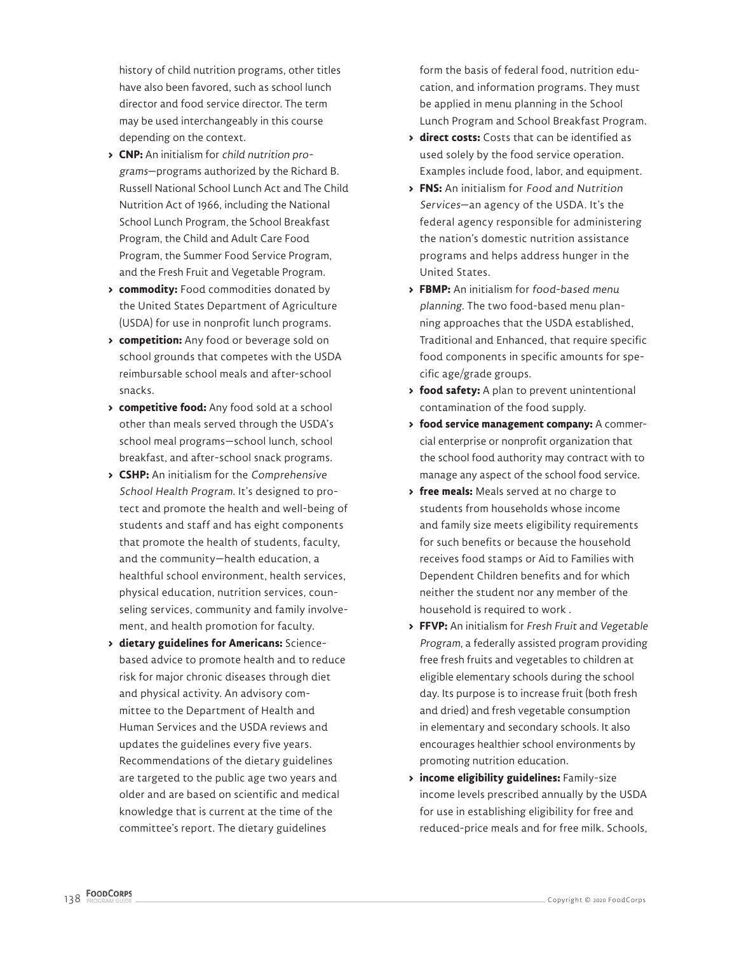history of child nutrition programs, other titles have also been favored, such as school lunch director and food service director. The term may be used interchangeably in this course depending on the context.

- **> CNP:** An initialism for child nutrition programs—programs authorized by the Richard B. Russell National School Lunch Act and The Child Nutrition Act of 1966, including the National School Lunch Program, the School Breakfast Program, the Child and Adult Care Food Program, the Summer Food Service Program, and the Fresh Fruit and Vegetable Program.
- **> commodity:** Food commodities donated by the United States Department of Agriculture (USDA) for use in nonprofit lunch programs.
- **> competition:** Any food or beverage sold on school grounds that competes with the USDA reimbursable school meals and after-school snacks.
- **> competitive food:** Any food sold at a school other than meals served through the USDA's school meal programs—school lunch, school breakfast, and after-school snack programs.
- **> CSHP:** An initialism for the Comprehensive School Health Program. It's designed to protect and promote the health and well-being of students and staff and has eight components that promote the health of students, faculty, and the community—health education, a healthful school environment, health services, physical education, nutrition services, counseling services, community and family involvement, and health promotion for faculty.
- **> dietary guidelines for Americans:** Sciencebased advice to promote health and to reduce risk for major chronic diseases through diet and physical activity. An advisory committee to the Department of Health and Human Services and the USDA reviews and updates the guidelines every five years. Recommendations of the dietary guidelines are targeted to the public age two years and older and are based on scientific and medical knowledge that is current at the time of the committee's report. The dietary guidelines

form the basis of federal food, nutrition education, and information programs. They must be applied in menu planning in the School Lunch Program and School Breakfast Program.

- **> direct costs:** Costs that can be identified as used solely by the food service operation. Examples include food, labor, and equipment.
- **> FNS:** An initialism for Food and Nutrition Services—an agency of the USDA. It's the federal agency responsible for administering the nation's domestic nutrition assistance programs and helps address hunger in the United States.
- **> FBMP:** An initialism for food-based menu planning. The two food-based menu planning approaches that the USDA established, Traditional and Enhanced, that require specific food components in specific amounts for specific age/grade groups.
- **> food safety:** A plan to prevent unintentional contamination of the food supply.
- **> food service management company:** A commercial enterprise or nonprofit organization that the school food authority may contract with to manage any aspect of the school food service.
- **> free meals:** Meals served at no charge to students from households whose income and family size meets eligibility requirements for such benefits or because the household receives food stamps or Aid to Families with Dependent Children benefits and for which neither the student nor any member of the household is required to work .
- **> FFVP:** An initialism for Fresh Fruit and Vegetable Program, a federally assisted program providing free fresh fruits and vegetables to children at eligible elementary schools during the school day. Its purpose is to increase fruit (both fresh and dried) and fresh vegetable consumption in elementary and secondary schools. It also encourages healthier school environments by promoting nutrition education.
- **> income eligibility guidelines:** Family-size income levels prescribed annually by the USDA for use in establishing eligibility for free and reduced-price meals and for free milk. Schools,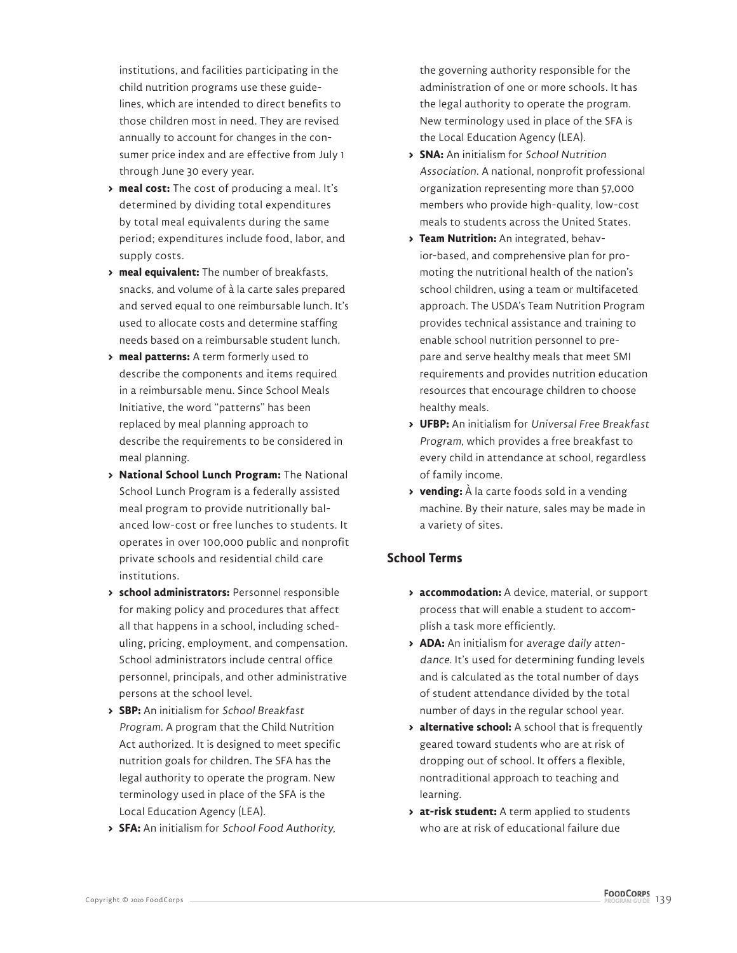institutions, and facilities participating in the child nutrition programs use these guidelines, which are intended to direct benefits to those children most in need. They are revised annually to account for changes in the consumer price index and are effective from July 1 through June 30 every year.

- **> meal cost:** The cost of producing a meal. It's determined by dividing total expenditures by total meal equivalents during the same period; expenditures include food, labor, and supply costs.
- **> meal equivalent:** The number of breakfasts, snacks, and volume of à la carte sales prepared and served equal to one reimbursable lunch. It's used to allocate costs and determine staffing needs based on a reimbursable student lunch.
- **> meal patterns:** A term formerly used to describe the components and items required in a reimbursable menu. Since School Meals Initiative, the word "patterns" has been replaced by meal planning approach to describe the requirements to be considered in meal planning.
- **> National School Lunch Program:** The National School Lunch Program is a federally assisted meal program to provide nutritionally balanced low-cost or free lunches to students. It operates in over 100,000 public and nonprofit private schools and residential child care institutions.
- **> school administrators:** Personnel responsible for making policy and procedures that affect all that happens in a school, including scheduling, pricing, employment, and compensation. School administrators include central office personnel, principals, and other administrative persons at the school level.
- **> SBP:** An initialism for School Breakfast Program. A program that the Child Nutrition Act authorized. It is designed to meet specific nutrition goals for children. The SFA has the legal authority to operate the program. New terminology used in place of the SFA is the Local Education Agency (LEA).
- **> SFA:** An initialism for School Food Authority,

the governing authority responsible for the administration of one or more schools. It has the legal authority to operate the program. New terminology used in place of the SFA is the Local Education Agency (LEA).

- **> SNA:** An initialism for School Nutrition Association. A national, nonprofit professional organization representing more than 57,000 members who provide high-quality, low-cost meals to students across the United States.
- **> Team Nutrition:** An integrated, behavior-based, and comprehensive plan for promoting the nutritional health of the nation's school children, using a team or multifaceted approach. The USDA's Team Nutrition Program provides technical assistance and training to enable school nutrition personnel to prepare and serve healthy meals that meet SMI requirements and provides nutrition education resources that encourage children to choose healthy meals.
- **> UFBP:** An initialism for Universal Free Breakfast Program, which provides a free breakfast to every child in attendance at school, regardless of family income.
- **> vending:** À la carte foods sold in a vending machine. By their nature, sales may be made in a variety of sites.

### **School Terms**

- **> accommodation:** A device, material, or support process that will enable a student to accomplish a task more efficiently.
- **> ADA:** An initialism for average daily attendance. It's used for determining funding levels and is calculated as the total number of days of student attendance divided by the total number of days in the regular school year.
- **> alternative school:** A school that is frequently geared toward students who are at risk of dropping out of school. It offers a flexible, nontraditional approach to teaching and learning.
- **> at-risk student:** A term applied to students who are at risk of educational failure due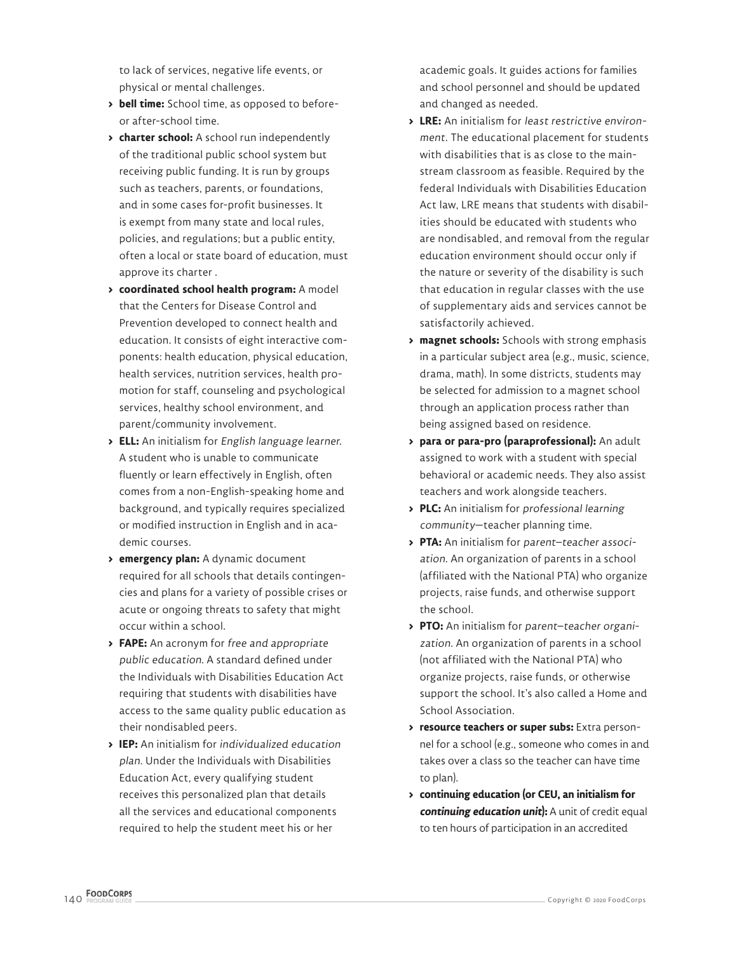to lack of services, negative life events, or physical or mental challenges.

- **> bell time:** School time, as opposed to beforeor after-school time.
- **> charter school:** A school run independently of the traditional public school system but receiving public funding. It is run by groups such as teachers, parents, or foundations, and in some cases for-profit businesses. It is exempt from many state and local rules, policies, and regulations; but a public entity, often a local or state board of education, must approve its charter .
- **> coordinated school health program:** A model that the Centers for Disease Control and Prevention developed to connect health and education. It consists of eight interactive components: health education, physical education, health services, nutrition services, health promotion for staff, counseling and psychological services, healthy school environment, and parent/community involvement.
- **> ELL:** An initialism for English language learner. A student who is unable to communicate fluently or learn effectively in English, often comes from a non-English-speaking home and background, and typically requires specialized or modified instruction in English and in academic courses.
- **> emergency plan:** A dynamic document required for all schools that details contingencies and plans for a variety of possible crises or acute or ongoing threats to safety that might occur within a school.
- **> FAPE:** An acronym for free and appropriate public education. A standard defined under the Individuals with Disabilities Education Act requiring that students with disabilities have access to the same quality public education as their nondisabled peers.
- **> IEP:** An initialism for individualized education plan. Under the Individuals with Disabilities Education Act, every qualifying student receives this personalized plan that details all the services and educational components required to help the student meet his or her

academic goals. It guides actions for families and school personnel and should be updated and changed as needed.

- **> LRE:** An initialism for least restrictive environment. The educational placement for students with disabilities that is as close to the mainstream classroom as feasible. Required by the federal Individuals with Disabilities Education Act law, LRE means that students with disabilities should be educated with students who are nondisabled, and removal from the regular education environment should occur only if the nature or severity of the disability is such that education in regular classes with the use of supplementary aids and services cannot be satisfactorily achieved.
- **> magnet schools:** Schools with strong emphasis in a particular subject area (e.g., music, science, drama, math). In some districts, students may be selected for admission to a magnet school through an application process rather than being assigned based on residence.
- **> para or para-pro (paraprofessional):** An adult assigned to work with a student with special behavioral or academic needs. They also assist teachers and work alongside teachers.
- **> PLC:** An initialism for professional learning community—teacher planning time.
- **> PTA:** An initialism for parent–teacher association. An organization of parents in a school (affiliated with the National PTA) who organize projects, raise funds, and otherwise support the school.
- **> PTO:** An initialism for parent–teacher organization. An organization of parents in a school (not affiliated with the National PTA) who organize projects, raise funds, or otherwise support the school. It's also called a Home and School Association.
- **> resource teachers or super subs:** Extra personnel for a school (e.g., someone who comes in and takes over a class so the teacher can have time to plan).
- **> continuing education (or CEU, an initialism for continuing education unit):** A unit of credit equal to ten hours of participation in an accredited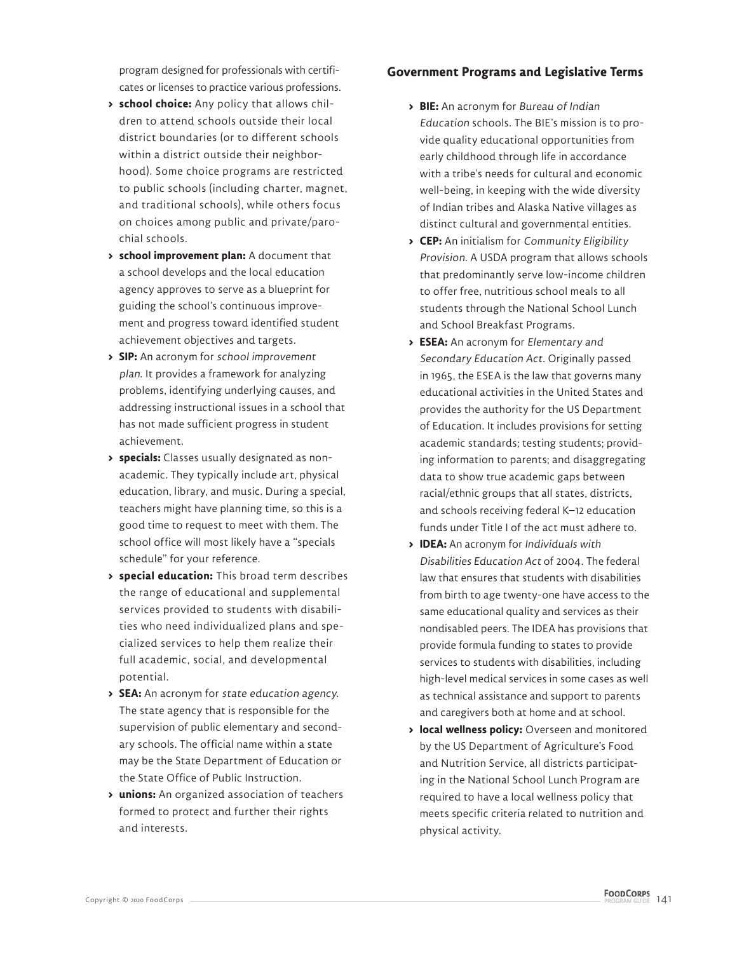program designed for professionals with certificates or licenses to practice various professions.

- **> school choice:** Any policy that allows children to attend schools outside their local district boundaries (or to different schools within a district outside their neighborhood). Some choice programs are restricted to public schools (including charter, magnet, and traditional schools), while others focus on choices among public and private/parochial schools.
- **> school improvement plan:** A document that a school develops and the local education agency approves to serve as a blueprint for guiding the school's continuous improvement and progress toward identified student achievement objectives and targets.
- **> SIP:** An acronym for school improvement plan. It provides a framework for analyzing problems, identifying underlying causes, and addressing instructional issues in a school that has not made sufficient progress in student achievement.
- **> specials:** Classes usually designated as nonacademic. They typically include art, physical education, library, and music. During a special, teachers might have planning time, so this is a good time to request to meet with them. The school office will most likely have a "specials schedule" for your reference.
- **> special education:** This broad term describes the range of educational and supplemental services provided to students with disabilities who need individualized plans and specialized services to help them realize their full academic, social, and developmental potential.
- **> SEA:** An acronym for state education agency. The state agency that is responsible for the supervision of public elementary and secondary schools. The official name within a state may be the State Department of Education or the State Office of Public Instruction.
- **> unions:** An organized association of teachers formed to protect and further their rights and interests.

### **Government Programs and Legislative Terms**

- **> BIE:** An acronym for Bureau of Indian Education schools. The BIE's mission is to provide quality educational opportunities from early childhood through life in accordance with a tribe's needs for cultural and economic well-being, in keeping with the wide diversity of Indian tribes and Alaska Native villages as distinct cultural and governmental entities.
- **> CEP:** An initialism for Community Eligibility Provision. A USDA program that allows schools that predominantly serve low-income children to offer free, nutritious school meals to all students through the National School Lunch and School Breakfast Programs.
- **> ESEA:** An acronym for Elementary and Secondary Education Act. Originally passed in 1965, the ESEA is the law that governs many educational activities in the United States and provides the authority for the US Department of Education. It includes provisions for setting academic standards; testing students; providing information to parents; and disaggregating data to show true academic gaps between racial/ethnic groups that all states, districts, and schools receiving federal K–12 education funds under Title I of the act must adhere to.
- **> IDEA:** An acronym for Individuals with Disabilities Education Act of 2004. The federal law that ensures that students with disabilities from birth to age twenty-one have access to the same educational quality and services as their nondisabled peers. The IDEA has provisions that provide formula funding to states to provide services to students with disabilities, including high-level medical services in some cases as well as technical assistance and support to parents and caregivers both at home and at school.
- **> local wellness policy:** Overseen and monitored by the US Department of Agriculture's Food and Nutrition Service, all districts participating in the National School Lunch Program are required to have a local wellness policy that meets specific criteria related to nutrition and physical activity.